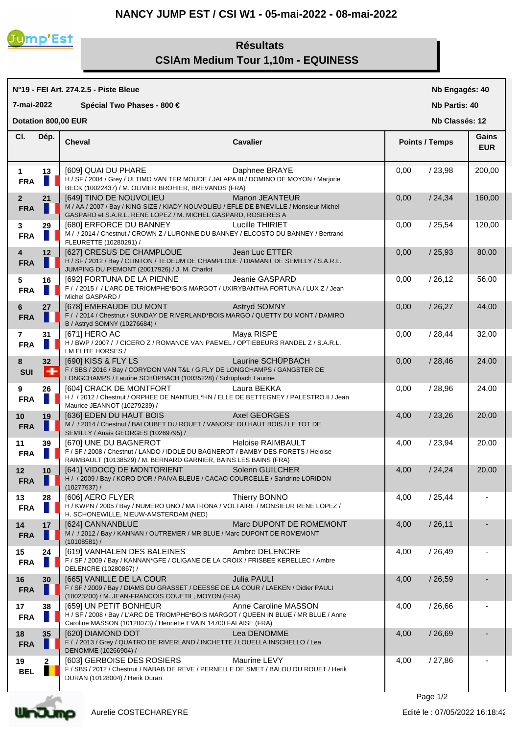## **NANCY JUMP EST / CSI W1 - 05-mai-2022 - 08-mai-2022**



## **Résultats CSIAm Medium Tour 1,10m - EQUINESS**

| N°19 - FEI Art. 274.2.5 - Piste Bleue    |             |                                                                                                                                                                                      |                          |                | Nb Engagés: 40        |                     |  |
|------------------------------------------|-------------|--------------------------------------------------------------------------------------------------------------------------------------------------------------------------------------|--------------------------|----------------|-----------------------|---------------------|--|
| 7-mai-2022<br>Spécial Two Phases - 800 € |             |                                                                                                                                                                                      |                          |                | <b>Nb Partis: 40</b>  |                     |  |
|                                          |             | Dotation 800,00 EUR                                                                                                                                                                  |                          | Nb Classés: 12 |                       |                     |  |
| CI.                                      | Dép.        | <b>Cheval</b>                                                                                                                                                                        | <b>Cavalier</b>          |                | <b>Points / Temps</b> | Gains<br><b>EUR</b> |  |
| $\mathbf{1}$<br><b>FRA</b>               | 13<br>П     | <b>[609] QUAI DU PHARE</b><br>H / SF / 2004 / Grey / ULTIMO VAN TER MOUDE / JALAPA III / DOMINO DE MOYON / Marjorie<br>BECK (10022437) / M. OLIVIER BROHIER, BREVANDS (FRA)          | Daphnee BRAYE            | 0,00           | /23,98                | 200,00              |  |
| 2 <sup>1</sup><br><b>FRA</b>             | 21          | [649] TINO DE NOUVOLIEU<br>M / AA / 2007 / Bay / KING SIZE / KIADY NOUVOLIEU / EFLE DE B'NEVILLE / Monsieur Michel<br>GASPARD et S.A.R.L. RENE LOPEZ / M. MICHEL GASPARD, ROSIERES A | Manon JEANTEUR           | 0,00           | /24,34                | 160,00              |  |
| 3<br><b>FRA</b>                          | 29          | [680] ERFORCE DU BANNEY<br>M / / 2014 / Chestnut / CROWN Z / LURONNE DU BANNEY / ELCOSTO DU BANNEY / Bertrand<br>FLEURETTE (10280291) /                                              | Lucille THIRIET          | 0,00           | /25,54                | 120,00              |  |
| 4<br><b>FRA</b>                          | 12          | [627] CRESUS DE CHAMPLOUE<br>H / SF / 2012 / Bay / CLINTON / TEDEUM DE CHAMPLOUE / DIAMANT DE SEMILLY / S.A.R.L.<br>JUMPING DU PIEMONT (20017926) / J. M. Charlot                    | Jean Luc ETTER           | 0,00           | /25,93                | 80,00               |  |
| 5<br><b>FRA</b>                          | 16<br>н     | [692] FORTUNA DE LA PIENNE<br>F / / 2015 / / L'ARC DE TRIOMPHE*BOIS MARGOT / UXIRYBANTHA FORTUNA / LUX Z / Jean<br>Michel GASPARD /                                                  | Jeanie GASPARD           | 0,00           | /26,12                | 56,00               |  |
| 6<br><b>FRA</b>                          | 27          | [678] EMERAUDE DU MONT<br>F / / 2014 / Chestnut / SUNDAY DE RIVERLAND*BOIS MARGO / QUETTY DU MONT / DAMIRO<br>B / Astryd SOMNY (10276684) /                                          | Astryd SOMNY             | 0,00           | /26,27                | 44,00               |  |
| 7<br><b>FRA</b>                          | 31<br>Ш     | [671] HERO AC<br>H / BWP / 2007 / / CICERO Z / ROMANCE VAN PAEMEL / OPTIEBEURS RANDEL Z / S.A.R.L.<br>LM ELITE HORSES /                                                              | Maya RISPE               | 0,00           | /28,44                | 32,00               |  |
| 8<br><b>SUI</b>                          | 32<br>+     | [690] KISS & FLY LS<br>F / SBS / 2016 / Bay / CORYDON VAN T&L / G.FLY DE LONGCHAMPS / GANGSTER DE<br>LONGCHAMPS / Laurine SCHÜPBACH (10035228) / Schüpbach Laurine                   | Laurine SCHÜPBACH        | 0,00           | /28,46                | 24,00               |  |
| 9<br><b>FRA</b>                          | 26          | [604] CRACK DE MONTFORT<br>H / / 2012 / Chestnut / ORPHEE DE NANTUEL*HN / ELLE DE BETTEGNEY / PALESTRO II / Jean<br>Maurice JEANNOT (10279239) /                                     | Laura BEKKA              | 0,00           | /28,96                | 24,00               |  |
| 10 <sup>°</sup><br><b>FRA</b>            | 19<br>п     | [636] EDEN DU HAUT BOIS<br>M / / 2014 / Chestnut / BALOUBET DU ROUET / VANOISE DU HAUT BOIS / LE TOT DE<br>SEMILLY / Anais GEORGES (10269795) /                                      | Axel GEORGES             | 4,00           | /23,26                | 20,00               |  |
| 11<br><b>FRA</b>                         | 39          | [670] UNE DU BAGNEROT<br>F / SF / 2008 / Chestnut / LANDO / IDOLE DU BAGNEROT / BAMBY DES FORETS / Heloise<br>RAIMBAULT (10138529) / M. BERNARD GARNIER, BAINS LES BAINS (FRA)       | <b>Heloise RAIMBAULT</b> | 4,00           | /23,94                | 20,00               |  |
| 12<br><b>FRA</b>                         | 10          | [641] VIDOCQ DE MONTORIENT<br>H / / 2009 / Bay / KORO D'OR / PAIVA BLEUE / CACAO COURCELLE / Sandrine LORIDON<br>(10277637) /                                                        | Solenn GUILCHER          | 4,00           | /24,24                | 20,00               |  |
| 13<br><b>FRA</b>                         | 28          | [606] AERO FLYER<br>H / KWPN / 2005 / Bay / NUMERO UNO / MATRONA / VOLTAIRE / MONSIEUR RENE LOPEZ /<br>H. SCHONEWILLE, NIEUW-AMSTERDAM (NED)                                         | Thierry BONNO            | 4,00           | /25,44                |                     |  |
| 14<br><b>FRA</b>                         | 17          | [624] CANNANBLUE<br>M / / 2012 / Bay / KANNAN / OUTREMER / MR BLUE / Marc DUPONT DE ROMEMONT<br>(10108581) /                                                                         | Marc DUPONT DE ROMEMONT  | 4,00           | /26,11                |                     |  |
| 15<br><b>FRA</b>                         | 24          | [619] VANHALEN DES BALEINES<br>F / SF / 2009 / Bay / KANNAN*GFE / OLIGANE DE LA CROIX / FRISBEE KERELLEC / Ambre<br>DELENCRE (10280867) /                                            | Ambre DELENCRE           | 4,00           | /26,49                |                     |  |
| 16<br><b>FRA</b>                         | 30          | [665] VANILLE DE LA COUR<br>F / SF / 2009 / Bay / DIAMS DU GRASSET / DEESSE DE LA COUR / LAEKEN / Didier PAULI<br>(10023200) / M. JEAN-FRANCOIS COUETIL, MOYON (FRA)                 | <b>Julia PAULI</b>       | 4,00           | /26,59                |                     |  |
| 17<br><b>FRA</b>                         | 38          | [659] UN PETIT BONHEUR<br>H / SF / 2008 / Bay / L'ARC DE TRIOMPHE*BOIS MARGOT / QUEEN IN BLUE / MR BLUE / Anne<br>Caroline MASSON (10120073) / Henriette EVAIN 14700 FALAISE (FRA)   | Anne Caroline MASSON     | 4,00           | /26,66                |                     |  |
| 18<br><b>FRA</b>                         | 35          | [620] DIAMOND DOT<br>F / / 2013 / Grey / QUATRO DE RIVERLAND / INCHETTE / LOUELLA INSCHELLO / Lea<br>DENOMME (10266904) /                                                            | Lea DENOMME              | 4,00           | /26,69                |                     |  |
| 19<br><b>BEL</b>                         | $\mathbf 2$ | [603] GERBOISE DES ROSIERS<br>F / SBS / 2012 / Chestnut / NABAB DE REVE / PERNELLE DE SMET / BALOU DU ROUET / Herik<br>DURAN (10128004) / Herik Duran                                | Maurine LEVY             | 4,00           | /27,86                |                     |  |